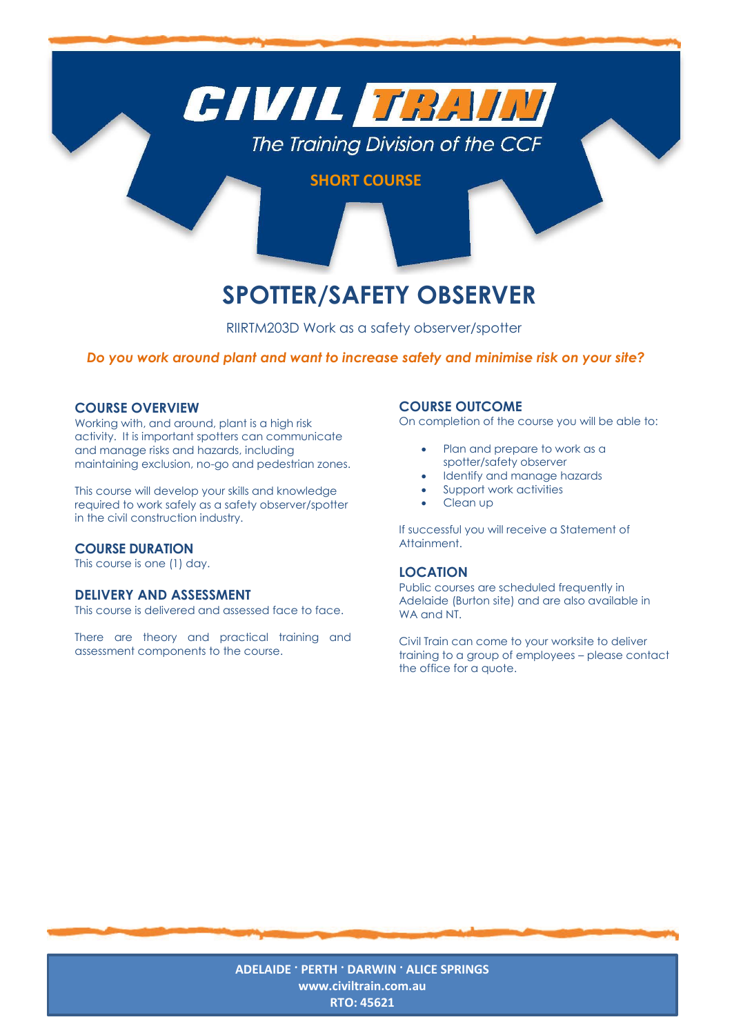

# **SPOTTER/SAFETY OBSERVER**

RIIRTM203D Work as a safety observer/spotter

## *Do you work around plant and want to increase safety and minimise risk on your site?*

### **COURSE OVERVIEW**

Working with, and around, plant is a high risk activity. It is important spotters can communicate and manage risks and hazards, including maintaining exclusion, no-go and pedestrian zones.

This course will develop your skills and knowledge required to work safely as a safety observer/spotter in the civil construction industry.

### **COURSE DURATION**

This course is one (1) day.

#### **DELIVERY AND ASSESSMENT**

This course is delivered and assessed face to face.

There are theory and practical training and assessment components to the course.

#### **COURSE OUTCOME**

On completion of the course you will be able to:

- Plan and prepare to work as a spotter/safety observer
- Identify and manage hazards
- Support work activities
- Clean up

If successful you will receive a Statement of Attainment.

#### **LOCATION**

Public courses are scheduled frequently in Adelaide (Burton site) and are also available in WA and NT.

Civil Train can come to your worksite to deliver training to a group of employees – please contact the office for a quote.

**ADELAIDE · PERTH · DARWIN · ALICE SPRINGS [www.civiltrain.com.au](http://www.civiltrain.com.au/) RTO: 45621**